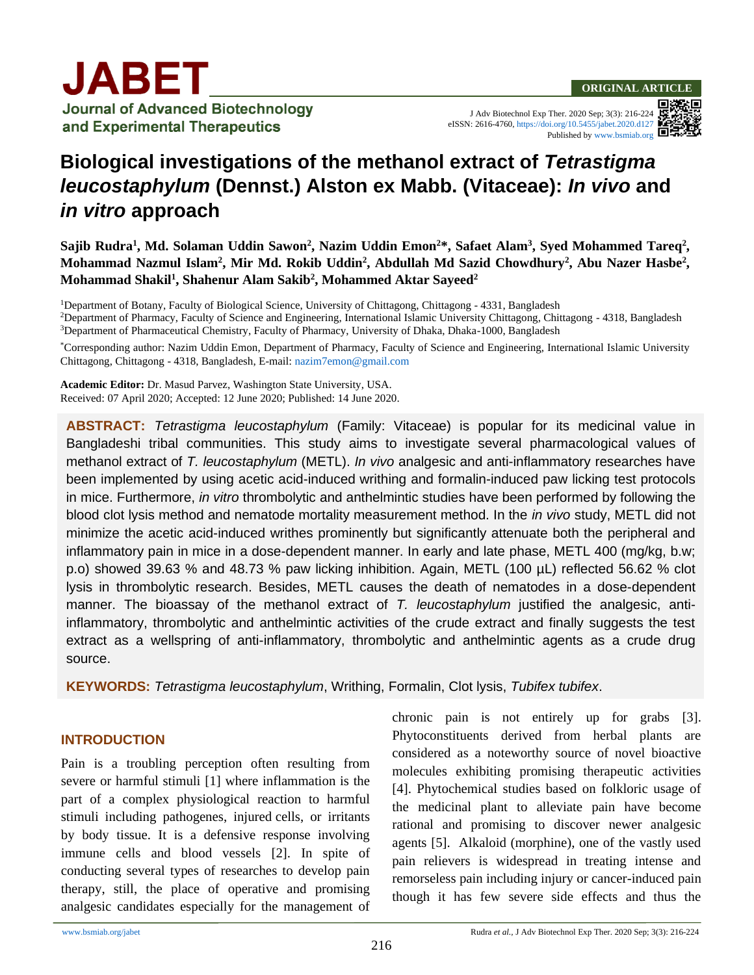J Adv Biotechnol Exp Ther. 2020 Sep; 3(3): 216-224 eISSN: 2616-4760[, https://doi.org/10.5455/jabet.2020.d127](https://doi.org/10.5455/jabet.2020.d127)

Published b[y www.bsmiab.org](http://www.bsmiab.org/)



# **Biological investigations of the methanol extract of** *Tetrastigma leucostaphylum* **(Dennst.) Alston ex Mabb. (Vitaceae):** *In vivo* **and**  *in vitro* **approach**

Sajib Rudra<sup>1</sup>, Md. Solaman Uddin Sawon<sup>2</sup>, Nazim Uddin Emon<sup>2\*</sup>, Safaet Alam<sup>3</sup>, Syed Mohammed Tareq<sup>2</sup>, Mohammad Nazmul Islam<sup>2</sup>, Mir Md. Rokib Uddin<sup>2</sup>, Abdullah Md Sazid Chowdhury<sup>2</sup>, Abu Nazer Hasbe<sup>2</sup>, **Mohammad Shakil<sup>1</sup> , Shahenur Alam Sakib<sup>2</sup> , Mohammed Aktar Sayeed<sup>2</sup>**

<sup>1</sup>Department of Botany, Faculty of Biological Science, University of Chittagong, Chittagong - 4331, Bangladesh <sup>2</sup>Department of Pharmacy, Faculty of Science and Engineering, International Islamic University Chittagong, Chittagong - 4318, Bangladesh <sup>3</sup>Department of Pharmaceutical Chemistry, Faculty of Pharmacy, University of Dhaka, Dhaka-1000, Bangladesh

\*Corresponding author: Nazim Uddin Emon, Department of Pharmacy, Faculty of Science and Engineering, International Islamic University Chittagong, Chittagong - 4318, Bangladesh, E-mail[: nazim7emon@gmail.com](mailto:nazim7emon@gmail.com)

**Academic Editor:** Dr. Masud Parvez, Washington State University, USA. Received: 07 April 2020; Accepted: 12 June 2020; Published: 14 June 2020.

**ABSTRACT:** *Tetrastigma leucostaphylum* (Family: Vitaceae) is popular for its medicinal value in Bangladeshi tribal communities. This study aims to investigate several pharmacological values of methanol extract of *T. leucostaphylum* (METL). *In vivo* analgesic and anti-inflammatory researches have been implemented by using acetic acid-induced writhing and formalin-induced paw licking test protocols in mice. Furthermore, *in vitro* thrombolytic and anthelmintic studies have been performed by following the blood clot lysis method and nematode mortality measurement method. In the *in vivo* study, METL did not minimize the acetic acid-induced writhes prominently but significantly attenuate both the peripheral and inflammatory pain in mice in a dose-dependent manner. In early and late phase, METL 400 (mg/kg, b.w; p.o) showed 39.63 % and 48.73 % paw licking inhibition. Again, METL (100 µL) reflected 56.62 % clot lysis in thrombolytic research. Besides, METL causes the death of nematodes in a dose-dependent manner. The bioassay of the methanol extract of *T. leucostaphylum* justified the analgesic, antiinflammatory, thrombolytic and anthelmintic activities of the crude extract and finally suggests the test extract as a wellspring of anti-inflammatory, thrombolytic and anthelmintic agents as a crude drug source.

**KEYWORDS:** *Tetrastigma leucostaphylum*, Writhing, Formalin, Clot lysis, *Tubifex tubifex*.

# **INTRODUCTION**

Pain is a troubling perception often resulting from severe or harmful stimuli [1] where inflammation is the part of a complex physiological reaction to harmful stimuli including pathogenes, injured cells, or irritants by body tissue. It is a defensive response involving immune cells and blood vessels [2]. In spite of conducting several types of researches to develop pain therapy, still, the place of operative and promising analgesic candidates especially for the management of chronic pain is not entirely up for grabs [3]. Phytoconstituents derived from herbal plants are considered as a noteworthy source of novel bioactive molecules exhibiting promising therapeutic activities [4]. Phytochemical studies based on folkloric usage of the medicinal plant to alleviate pain have become rational and promising to discover newer analgesic agents [5]. Alkaloid (morphine), one of the vastly used pain relievers is widespread in treating intense and remorseless pain including injury or cancer-induced pain though it has few severe side effects and thus the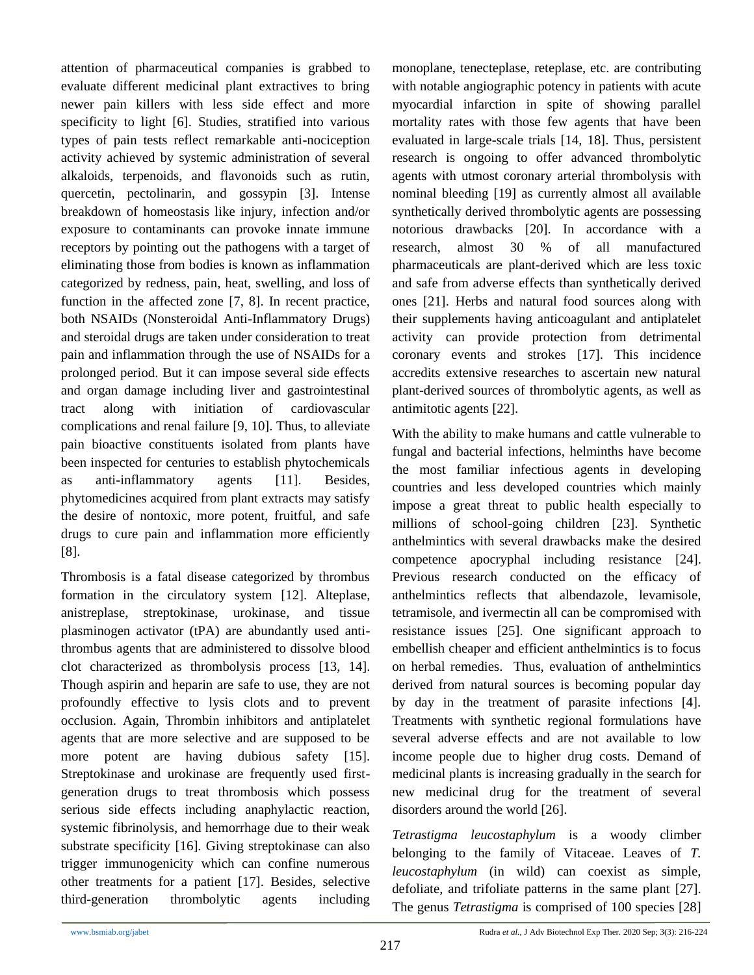attention of pharmaceutical companies is grabbed to evaluate different medicinal plant extractives to bring newer pain killers with less side effect and more specificity to light [6]. Studies, stratified into various types of pain tests reflect remarkable anti-nociception activity achieved by systemic administration of several alkaloids, terpenoids, and flavonoids such as rutin, quercetin, pectolinarin, and gossypin [3]. Intense breakdown of homeostasis like injury, infection and/or exposure to contaminants can provoke innate immune receptors by pointing out the pathogens with a target of eliminating those from bodies is known as inflammation categorized by redness, pain, heat, swelling, and loss of function in the affected zone [7, 8]. In recent practice, both NSAIDs (Nonsteroidal Anti-Inflammatory Drugs) and steroidal drugs are taken under consideration to treat pain and inflammation through the use of NSAIDs for a prolonged period. But it can impose several side effects and organ damage including liver and gastrointestinal tract along with initiation of cardiovascular complications and renal failure [9, 10]. Thus, to alleviate pain bioactive constituents isolated from plants have been inspected for centuries to establish phytochemicals as anti-inflammatory agents [11]. Besides, phytomedicines acquired from plant extracts may satisfy the desire of nontoxic, more potent, fruitful, and safe drugs to cure pain and inflammation more efficiently [8].

Thrombosis is a fatal disease categorized by thrombus formation in the circulatory system [12]. Alteplase, anistreplase, streptokinase, urokinase, and tissue plasminogen activator (tPA) are abundantly used antithrombus agents that are administered to dissolve blood clot characterized as thrombolysis process [13, 14]. Though aspirin and heparin are safe to use, they are not profoundly effective to lysis clots and to prevent occlusion. Again, Thrombin inhibitors and antiplatelet agents that are more selective and are supposed to be more potent are having dubious safety [15]. Streptokinase and urokinase are frequently used firstgeneration drugs to treat thrombosis which possess serious side effects including anaphylactic reaction, systemic fibrinolysis, and hemorrhage due to their weak substrate specificity [16]. Giving streptokinase can also trigger immunogenicity which can confine numerous other treatments for a patient [17]. Besides, selective third-generation thrombolytic agents including

monoplane, tenecteplase, reteplase, etc. are contributing with notable angiographic potency in patients with acute myocardial infarction in spite of showing parallel mortality rates with those few agents that have been evaluated in large-scale trials [14, 18]. Thus, persistent research is ongoing to offer advanced thrombolytic agents with utmost coronary arterial thrombolysis with nominal bleeding [19] as currently almost all available synthetically derived thrombolytic agents are possessing notorious drawbacks [20]. In accordance with a research, almost 30 % of all manufactured pharmaceuticals are plant-derived which are less toxic and safe from adverse effects than synthetically derived ones [21]. Herbs and natural food sources along with their supplements having anticoagulant and antiplatelet activity can provide protection from detrimental coronary events and strokes [17]. This incidence accredits extensive researches to ascertain new natural plant-derived sources of thrombolytic agents, as well as antimitotic agents [22].

With the ability to make humans and cattle vulnerable to fungal and bacterial infections, helminths have become the most familiar infectious agents in developing countries and less developed countries which mainly impose a great threat to public health especially to millions of school-going children [23]. Synthetic anthelmintics with several drawbacks make the desired competence apocryphal including resistance [24]. Previous research conducted on the efficacy of anthelmintics reflects that albendazole, levamisole, tetramisole, and ivermectin all can be compromised with resistance issues [25]. One significant approach to embellish cheaper and efficient anthelmintics is to focus on herbal remedies. Thus, evaluation of anthelmintics derived from natural sources is becoming popular day by day in the treatment of parasite infections [4]. Treatments with synthetic regional formulations have several adverse effects and are not available to low income people due to higher drug costs. Demand of medicinal plants is increasing gradually in the search for new medicinal drug for the treatment of several disorders around the world [26].

*Tetrastigma leucostaphylum* is a woody climber belonging to the family of Vitaceae. Leaves of *T. leucostaphylum* (in wild) can coexist as simple, defoliate, and trifoliate patterns in the same plant [27]. The genus *Tetrastigma* is comprised of 100 species [28]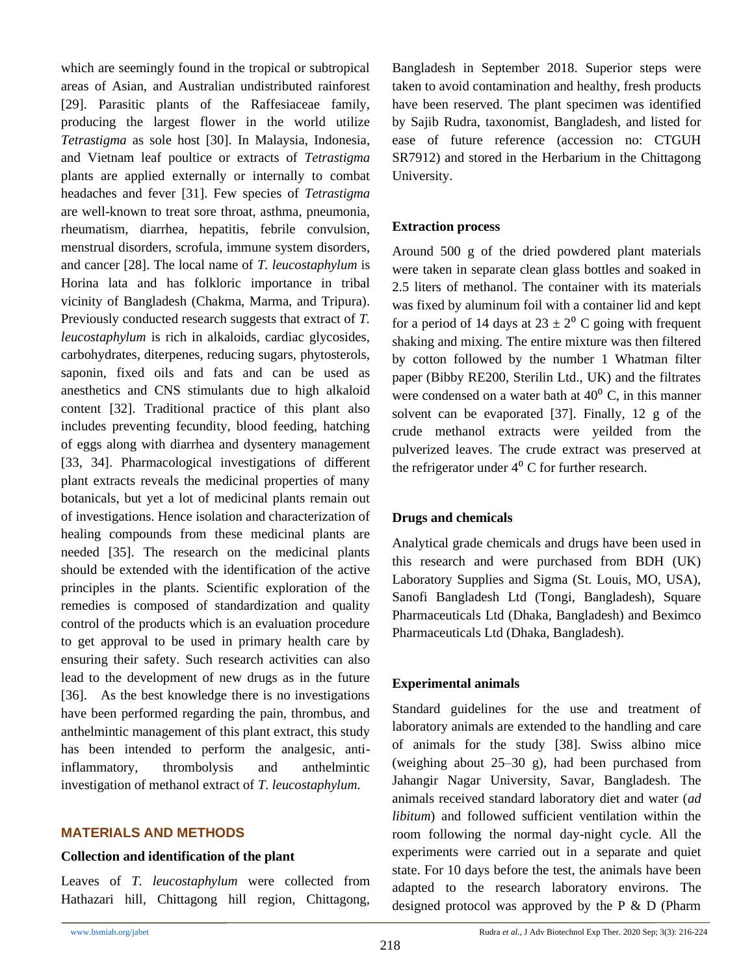which are seemingly found in the tropical or subtropical areas of Asian, and Australian undistributed rainforest [29]. Parasitic plants of the Raffesiaceae family, producing the largest flower in the world utilize *Tetrastigma* as sole host [30]. In Malaysia, Indonesia, and Vietnam leaf poultice or extracts of *Tetrastigma* plants are applied externally or internally to combat headaches and fever [31]. Few species of *Tetrastigma* are well-known to treat sore throat, asthma, pneumonia, rheumatism, diarrhea, hepatitis, febrile convulsion, menstrual disorders, scrofula, immune system disorders, and cancer [28]. The local name of *T. leucostaphylum* is Horina lata and has folkloric importance in tribal vicinity of Bangladesh (Chakma, Marma, and Tripura). Previously conducted research suggests that extract of *T. leucostaphylum* is rich in alkaloids, cardiac glycosides, carbohydrates, diterpenes, reducing sugars, phytosterols, saponin, fixed oils and fats and can be used as anesthetics and CNS stimulants due to high alkaloid content [32]. Traditional practice of this plant also includes preventing fecundity, blood feeding, hatching of eggs along with diarrhea and dysentery management [33, 34]. Pharmacological investigations of different plant extracts reveals the medicinal properties of many botanicals, but yet a lot of medicinal plants remain out of investigations. Hence isolation and characterization of healing compounds from these medicinal plants are needed [35]. The research on the medicinal plants should be extended with the identification of the active principles in the plants. Scientific exploration of the remedies is composed of standardization and quality control of the products which is an evaluation procedure to get approval to be used in primary health care by ensuring their safety. Such research activities can also lead to the development of new drugs as in the future [36]. As the best knowledge there is no investigations have been performed regarding the pain, thrombus, and anthelmintic management of this plant extract, this study has been intended to perform the analgesic, antiinflammatory, thrombolysis and anthelmintic investigation of methanol extract of *T. leucostaphylum*.

# **MATERIALS AND METHODS**

## **Collection and identification of the plant**

Leaves of *T. leucostaphylum* were collected from Hathazari hill, Chittagong hill region, Chittagong, Bangladesh in September 2018. Superior steps were taken to avoid contamination and healthy, fresh products have been reserved. The plant specimen was identified by Sajib Rudra, taxonomist, Bangladesh, and listed for ease of future reference (accession no: CTGUH SR7912) and stored in the Herbarium in the Chittagong University.

# **Extraction process**

Around 500 g of the dried powdered plant materials were taken in separate clean glass bottles and soaked in 2.5 liters of methanol. The container with its materials was fixed by aluminum foil with a container lid and kept for a period of 14 days at  $23 \pm 2^0$  C going with frequent shaking and mixing. The entire mixture was then filtered by cotton followed by the number 1 Whatman filter paper (Bibby RE200, Sterilin Ltd., UK) and the filtrates were condensed on a water bath at  $40^{\circ}$  C, in this manner solvent can be evaporated [37]. Finally, 12 g of the crude methanol extracts were yeilded from the pulverized leaves. The crude extract was preserved at the refrigerator under  $4^{\circ}$  C for further research.

# **Drugs and chemicals**

Analytical grade chemicals and drugs have been used in this research and were purchased from BDH (UK) Laboratory Supplies and Sigma (St. Louis, MO, USA), Sanofi Bangladesh Ltd (Tongi, Bangladesh), Square Pharmaceuticals Ltd (Dhaka, Bangladesh) and Beximco Pharmaceuticals Ltd (Dhaka, Bangladesh).

# **Experimental animals**

Standard guidelines for the use and treatment of laboratory animals are extended to the handling and care of animals for the study [38]. Swiss albino mice (weighing about 25–30 g), had been purchased from Jahangir Nagar University, Savar, Bangladesh. The animals received standard laboratory diet and water (*ad libitum*) and followed sufficient ventilation within the room following the normal day-night cycle. All the experiments were carried out in a separate and quiet state. For 10 days before the test, the animals have been adapted to the research laboratory environs. The designed protocol was approved by the P & D (Pharm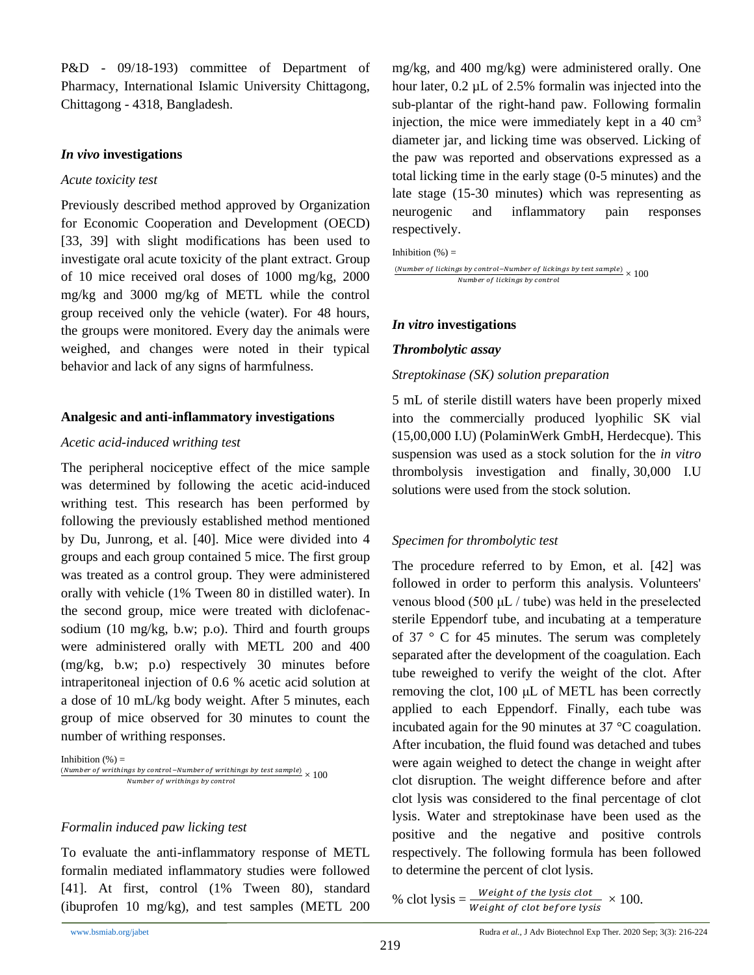P&D - 09/18-193) committee of Department of Pharmacy, International Islamic University Chittagong, Chittagong - 4318, Bangladesh.

## *In vivo* **investigations**

## *Acute toxicity test*

Previously described method approved by Organization for Economic Cooperation and Development (OECD) [33, 39] with slight modifications has been used to investigate oral acute toxicity of the plant extract. Group of 10 mice received oral doses of 1000 mg/kg, 2000 mg/kg and 3000 mg/kg of METL while the control group received only the vehicle (water). For 48 hours, the groups were monitored. Every day the animals were weighed, and changes were noted in their typical behavior and lack of any signs of harmfulness.

# **Analgesic and anti-inflammatory investigations**

## *Acetic acid-induced writhing test*

The peripheral nociceptive effect of the mice sample was determined by following the acetic acid-induced writhing test. This research has been performed by following the previously established method mentioned by Du, Junrong, et al. [40]. Mice were divided into 4 groups and each group contained 5 mice. The first group was treated as a control group. They were administered orally with vehicle (1% Tween 80 in distilled water). In the second group, mice were treated with diclofenacsodium (10 mg/kg, b.w; p.o). Third and fourth groups were administered orally with METL 200 and 400 (mg/kg, b.w; p.o) respectively 30 minutes before intraperitoneal injection of 0.6 % acetic acid solution at a dose of 10 mL/kg body weight. After 5 minutes, each group of mice observed for 30 minutes to count the number of writhing responses.

```
Inhibition (\%) =(Number of writhings by control–Number of writhings by test sample) \times 100
      Number of writhings by control
```
# *Formalin induced paw licking test*

To evaluate the anti-inflammatory response of METL formalin mediated inflammatory studies were followed [41]. At first, control (1% Tween 80), standard (ibuprofen 10 mg/kg), and test samples (METL 200

mg/kg, and 400 mg/kg) were administered orally. One hour later, 0.2 µL of 2.5% formalin was injected into the sub-plantar of the right-hand paw. Following formalin injection, the mice were immediately kept in a  $40 \text{ cm}^3$ diameter jar, and licking time was observed. Licking of the paw was reported and observations expressed as a total licking time in the early stage (0-5 minutes) and the late stage (15-30 minutes) which was representing as neurogenic and inflammatory pain responses respectively.

Inhibition  $(\%) =$ 

(Number of lickings by control–Number of lickings by test sample)  $\times$  100 Number of lickings by control

# *In vitro* **investigations**

# *Thrombolytic assay*

# *Streptokinase (SK) solution preparation*

5 mL of sterile distill waters have been properly mixed into the commercially produced lyophilic SK vial (15,00,000 I.U) (PolaminWerk GmbH, Herdecque). This suspension was used as a stock solution for the *in vitro* thrombolysis investigation and finally, 30,000 I.U solutions were used from the stock solution.

# *Specimen for thrombolytic test*

The procedure referred to by Emon, et al. [42] was followed in order to perform this analysis. Volunteers' venous blood (500 μL / tube) was held in the preselected sterile Eppendorf tube, and incubating at a temperature of 37 ° C for 45 minutes. The serum was completely separated after the development of the coagulation. Each tube reweighed to verify the weight of the clot. After removing the clot, 100 μL of METL has been correctly applied to each Eppendorf. Finally, each tube was incubated again for the 90 minutes at 37 °C coagulation. After incubation, the fluid found was detached and tubes were again weighed to detect the change in weight after clot disruption. The weight difference before and after clot lysis was considered to the final percentage of clot lysis. Water and streptokinase have been used as the positive and the negative and positive controls respectively. The following formula has been followed to determine the percent of clot lysis.

% clot lysis  $=\frac{Weight \ of \ the \ lysis \ colot}}{Weight \ of \ clot \ before \ lysis} \times 100.$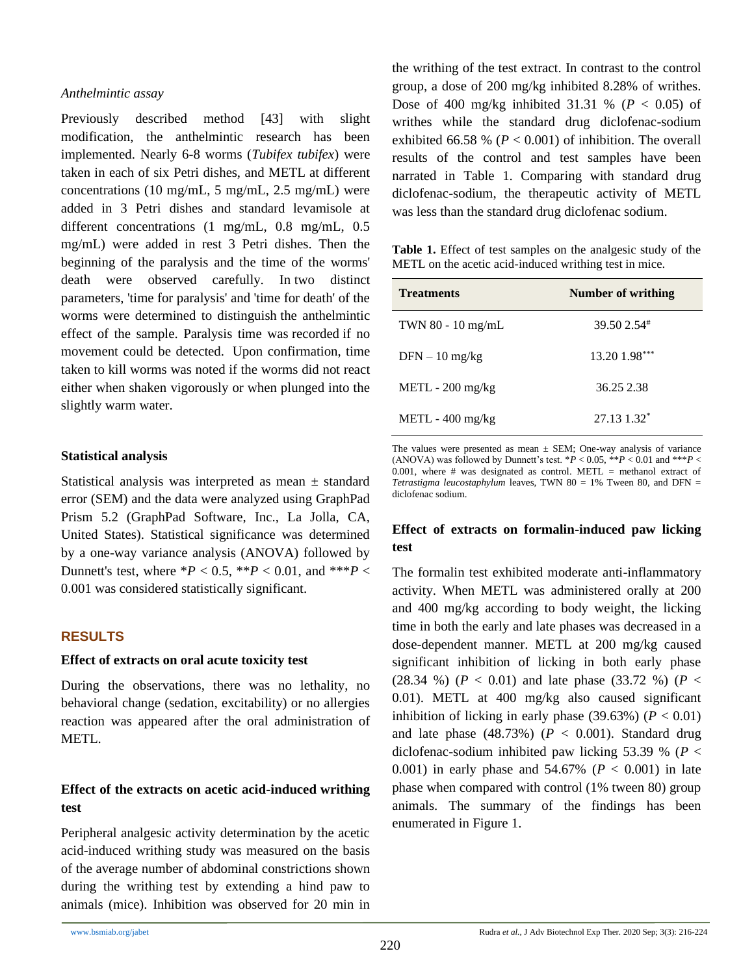#### *Anthelmintic assay*

Previously described method [43] with slight modification, the anthelmintic research has been implemented. Nearly 6-8 worms (*Tubifex tubifex*) were taken in each of six Petri dishes, and METL at different concentrations (10 mg/mL, 5 mg/mL, 2.5 mg/mL) were added in 3 Petri dishes and standard levamisole at different concentrations (1 mg/mL, 0.8 mg/mL, 0.5 mg/mL) were added in rest 3 Petri dishes. Then the beginning of the paralysis and the time of the worms' death were observed carefully. In two distinct parameters, 'time for paralysis' and 'time for death' of the worms were determined to distinguish the anthelmintic effect of the sample. Paralysis time was recorded if no movement could be detected. Upon confirmation, time taken to kill worms was noted if the worms did not react either when shaken vigorously or when plunged into the slightly warm water.

## **Statistical analysis**

Statistical analysis was interpreted as mean  $\pm$  standard error (SEM) and the data were analyzed using GraphPad Prism 5.2 (GraphPad Software, Inc., La Jolla, CA, United States). Statistical significance was determined by a one-way variance analysis (ANOVA) followed by Dunnett's test, where  $*P < 0.5$ ,  $**P < 0.01$ , and  $***P <$ 0.001 was considered statistically significant.

# **RESULTS**

#### **Effect of extracts on oral acute toxicity test**

During the observations, there was no lethality, no behavioral change (sedation, excitability) or no allergies reaction was appeared after the oral administration of METL.

# **Effect of the extracts on acetic acid-induced writhing test**

Peripheral analgesic activity determination by the acetic acid-induced writhing study was measured on the basis of the average number of abdominal constrictions shown during the writhing test by extending a hind paw to animals (mice). Inhibition was observed for 20 min in the writhing of the test extract. In contrast to the control group, a dose of 200 mg/kg inhibited 8.28% of writhes. Dose of 400 mg/kg inhibited 31.31 % ( $P < 0.05$ ) of writhes while the standard drug diclofenac-sodium exhibited 66.58 % ( $P < 0.001$ ) of inhibition. The overall results of the control and test samples have been narrated in Table 1. Comparing with standard drug diclofenac-sodium, the therapeutic activity of METL was less than the standard drug diclofenac sodium.

**Table 1.** Effect of test samples on the analgesic study of the METL on the acetic acid-induced writhing test in mice.

| <b>Treatments</b>  | <b>Number of writhing</b> |
|--------------------|---------------------------|
| TWN 80 - 10 mg/mL  | 39.50 2.54 <sup>#</sup>   |
| $DFN - 10$ mg/kg   | 13.20 1.98***             |
| $METL - 200$ mg/kg | 36.25 2.38                |
| $METL - 400$ mg/kg | $27.13$ $1.32^*$          |

The values were presented as mean  $\pm$  SEM; One-way analysis of variance (ANOVA) was followed by Dunnett's test.  $*P < 0.05$ ,  $**P < 0.01$  and  $***P <$ 0.001, where  $#$  was designated as control. METL = methanol extract of *Tetrastigma leucostaphylum* leaves, TWN 80 = 1% Tween 80, and DFN = diclofenac sodium.

# **Effect of extracts on formalin-induced paw licking test**

The formalin test exhibited moderate anti-inflammatory activity. When METL was administered orally at 200 and 400 mg/kg according to body weight, the licking time in both the early and late phases was decreased in a dose-dependent manner. METL at 200 mg/kg caused significant inhibition of licking in both early phase (28.34 %) ( $P < 0.01$ ) and late phase (33.72 %) ( $P <$ 0.01). METL at 400 mg/kg also caused significant inhibition of licking in early phase  $(39.63\%)$   $(P < 0.01)$ and late phase  $(48.73\%)$   $(P < 0.001)$ . Standard drug diclofenac-sodium inhibited paw licking 53.39 % (*P* < 0.001) in early phase and 54.67% (*P* < 0.001) in late phase when compared with control (1% tween 80) group animals. The summary of the findings has been enumerated in Figure 1.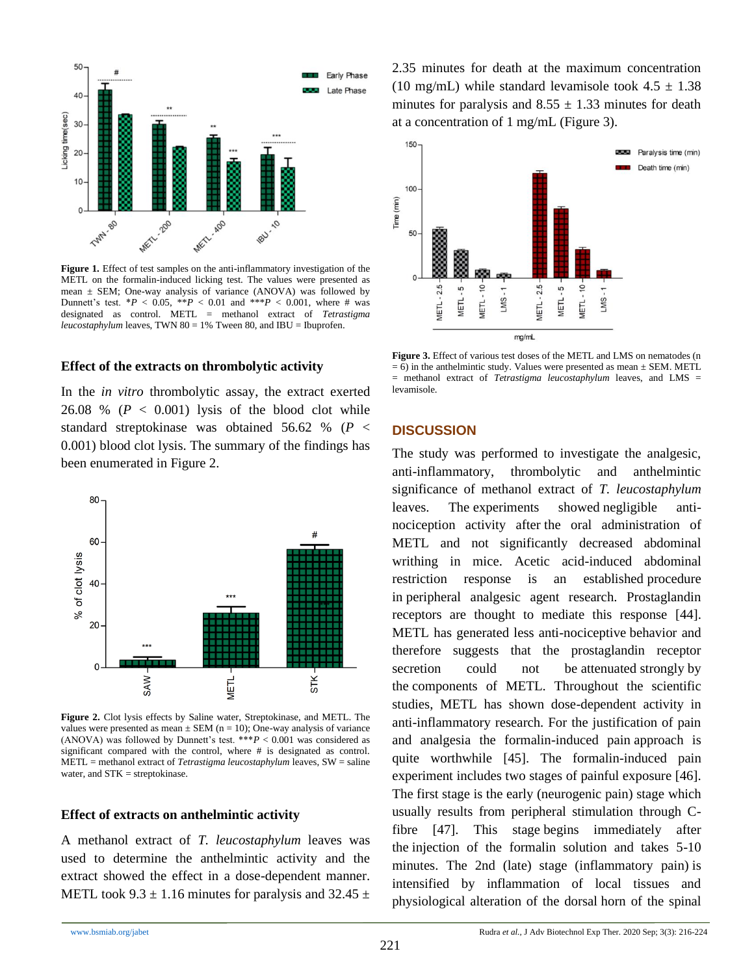

Figure 1. Effect of test samples on the anti-inflammatory investigation of the METL on the formalin-induced licking test. The values were presented as mean  $\pm$  SEM; One-way analysis of variance (ANOVA) was followed by Dunnett's test.  $*P < 0.05$ ,  $*P < 0.01$  and  $**P < 0.001$ , where # was designated as control. METL = methanol extract of *Tetrastigma leucostaphylum* leaves, TWN 80 = 1% Tween 80, and IBU = Ibuprofen.

#### **Effect of the extracts on thrombolytic activity**

In the *in vitro* thrombolytic assay, the extract exerted 26.08 %  $(P < 0.001)$  lysis of the blood clot while standard streptokinase was obtained 56.62 % (*P* < 0.001) blood clot lysis. The summary of the findings has been enumerated in Figure 2.



**Figure 2.** Clot lysis effects by Saline water, Streptokinase, and METL. The values were presented as mean  $\pm$  SEM (n = 10); One-way analysis of variance (ANOVA) was followed by Dunnett's test.  $***P < 0.001$  was considered as significant compared with the control, where # is designated as control. METL = methanol extract of *Tetrastigma leucostaphylum* leaves, SW = saline water, and STK = streptokinase.

#### **Effect of extracts on anthelmintic activity**

A methanol extract of *T. leucostaphylum* leaves was used to determine the anthelmintic activity and the extract showed the effect in a dose-dependent manner. METL took  $9.3 \pm 1.16$  minutes for paralysis and  $32.45 \pm 1.16$  2.35 minutes for death at the maximum concentration (10 mg/mL) while standard levamisole took  $4.5 \pm 1.38$ minutes for paralysis and  $8.55 \pm 1.33$  minutes for death at a concentration of 1 mg/mL (Figure 3).



**Figure 3.** Effect of various test doses of the METL and LMS on nematodes (n  $= 6$ ) in the anthelmintic study. Values were presented as mean  $\pm$  SEM. METL = methanol extract of *Tetrastigma leucostaphylum* leaves, and LMS = levamisole.

#### **DISCUSSION**

The study was performed to investigate the analgesic, anti-inflammatory, thrombolytic and anthelmintic significance of methanol extract of *T. leucostaphylum* leaves. The experiments showed negligible antinociception activity after the oral administration of METL and not significantly decreased abdominal writhing in mice. Acetic acid-induced abdominal restriction response is an established procedure in peripheral analgesic agent research. Prostaglandin receptors are thought to mediate this response [44]. METL has generated less anti-nociceptive behavior and therefore suggests that the prostaglandin receptor secretion could not be attenuated strongly by the components of METL. Throughout the scientific studies, METL has shown dose-dependent activity in anti-inflammatory research. For the justification of pain and analgesia the formalin-induced pain approach is quite worthwhile [45]. The formalin-induced pain experiment includes two stages of painful exposure [46]. The first stage is the early (neurogenic pain) stage which usually results from peripheral stimulation through Cfibre [47]. This stage begins immediately after the injection of the formalin solution and takes 5-10 minutes. The 2nd (late) stage (inflammatory pain) is intensified by inflammation of local tissues and physiological alteration of the dorsal horn of the spinal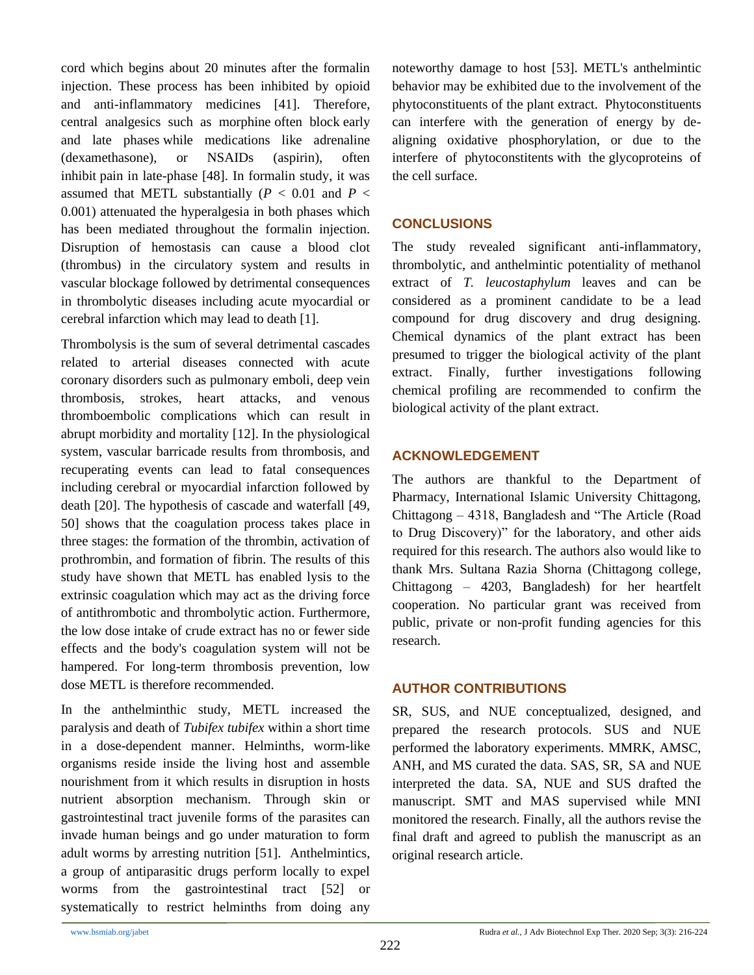cord which begins about 20 minutes after the formalin injection. These process has been inhibited by opioid and anti-inflammatory medicines [41]. Therefore, central analgesics such as morphine often block early and late phases while medications like adrenaline (dexamethasone), or NSAIDs (aspirin), often inhibit pain in late-phase [48]. In formalin study, it was assumed that METL substantially  $(P < 0.01$  and  $P <$ 0.001) attenuated the hyperalgesia in both phases which has been mediated throughout the formalin injection. Disruption of hemostasis can cause a blood clot (thrombus) in the circulatory system and results in vascular blockage followed by detrimental consequences in thrombolytic diseases including acute myocardial or cerebral infarction which may lead to death [1].

Thrombolysis is the sum of several detrimental cascades related to arterial diseases connected with acute coronary disorders such as pulmonary emboli, deep vein thrombosis, strokes, heart attacks, and venous thromboembolic complications which can result in abrupt morbidity and mortality [12]. In the physiological system, vascular barricade results from thrombosis, and recuperating events can lead to fatal consequences including cerebral or myocardial infarction followed by death [20]. The hypothesis of cascade and waterfall [49, 50] shows that the coagulation process takes place in three stages: the formation of the thrombin, activation of prothrombin, and formation of fibrin. The results of this study have shown that METL has enabled lysis to the extrinsic coagulation which may act as the driving force of antithrombotic and thrombolytic action. Furthermore, the low dose intake of crude extract has no or fewer side effects and the body's coagulation system will not be hampered. For long-term thrombosis prevention, low dose METL is therefore recommended.

In the anthelminthic study, METL increased the paralysis and death of *Tubifex tubifex* within a short time in a dose-dependent manner. Helminths, worm-like organisms reside inside the living host and assemble nourishment from it which results in disruption in hosts nutrient absorption mechanism. Through skin or gastrointestinal tract juvenile forms of the parasites can invade human beings and go under maturation to form adult worms by arresting nutrition [51]. Anthelmintics, a group of antiparasitic drugs perform locally to expel worms from the gastrointestinal tract [52] or systematically to restrict helminths from doing any

noteworthy damage to host [53]. METL's anthelmintic behavior may be exhibited due to the involvement of the phytoconstituents of the plant extract. Phytoconstituents can interfere with the generation of energy by dealigning oxidative phosphorylation, or due to the interfere of phytoconstitents with the glycoproteins of the cell surface.

# **CONCLUSIONS**

The study revealed significant anti-inflammatory, thrombolytic, and anthelmintic potentiality of methanol extract of *T. leucostaphylum* leaves and can be considered as a prominent candidate to be a lead compound for drug discovery and drug designing. Chemical dynamics of the plant extract has been presumed to trigger the biological activity of the plant extract. Finally, further investigations following chemical profiling are recommended to confirm the biological activity of the plant extract.

# **ACKNOWLEDGEMENT**

The authors are thankful to the Department of Pharmacy, International Islamic University Chittagong, Chittagong – 4318, Bangladesh and "The Article (Road to Drug Discovery)" for the laboratory, and other aids required for this research. The authors also would like to thank Mrs. Sultana Razia Shorna (Chittagong college, Chittagong – 4203, Bangladesh) for her heartfelt cooperation. No particular grant was received from public, private or non-profit funding agencies for this research.

# **AUTHOR CONTRIBUTIONS**

SR, SUS, and NUE conceptualized, designed, and prepared the research protocols. SUS and NUE performed the laboratory experiments. MMRK, AMSC, ANH, and MS curated the data. SAS, SR, SA and NUE interpreted the data. SA, NUE and SUS drafted the manuscript. SMT and MAS supervised while MNI monitored the research. Finally, all the authors revise the final draft and agreed to publish the manuscript as an original research article.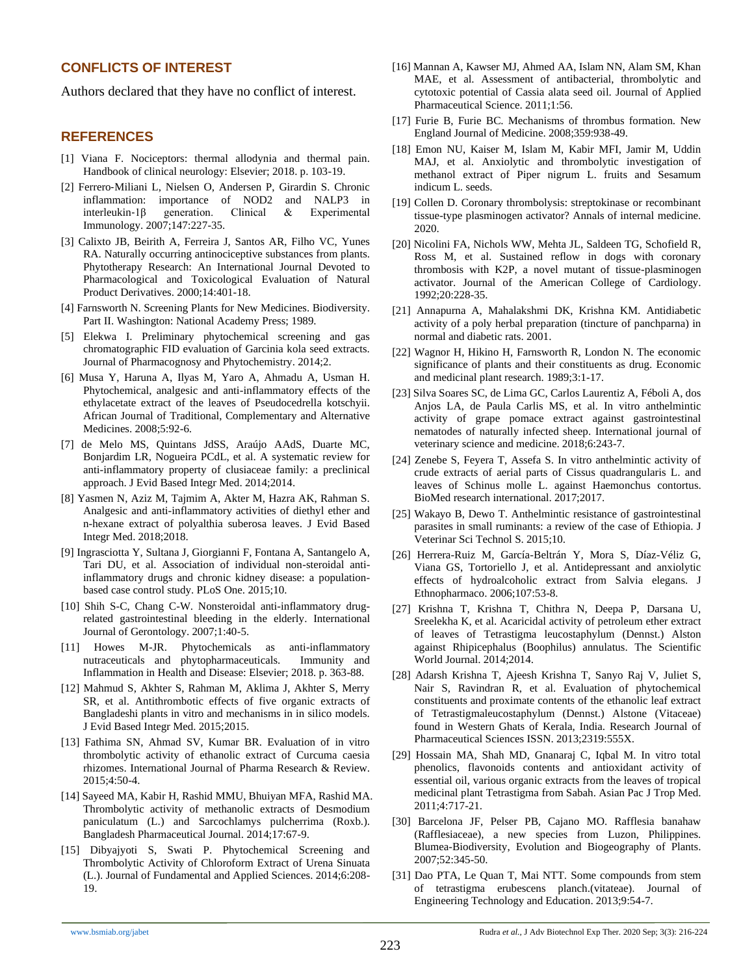# **CONFLICTS OF INTEREST**

Authors declared that they have no conflict of interest.

## **REFERENCES**

- [1] Viana F. Nociceptors: thermal allodynia and thermal pain. Handbook of clinical neurology: Elsevier; 2018. p. 103-19.
- [2] Ferrero‐Miliani L, Nielsen O, Andersen P, Girardin S. Chronic inflammation: importance of NOD2 and NALP3 in interleukin‐1β generation. Clinical & Experimental Immunology. 2007;147:227-35.
- [3] Calixto JB, Beirith A, Ferreira J, Santos AR, Filho VC, Yunes RA. Naturally occurring antinociceptive substances from plants. Phytotherapy Research: An International Journal Devoted to Pharmacological and Toxicological Evaluation of Natural Product Derivatives. 2000;14:401-18.
- [4] Farnsworth N. Screening Plants for New Medicines. Biodiversity. Part II. Washington: National Academy Press; 1989.
- [5] Elekwa I. Preliminary phytochemical screening and gas chromatographic FID evaluation of Garcinia kola seed extracts. Journal of Pharmacognosy and Phytochemistry. 2014;2.
- [6] Musa Y, Haruna A, Ilyas M, Yaro A, Ahmadu A, Usman H. Phytochemical, analgesic and anti-inflammatory effects of the ethylacetate extract of the leaves of Pseudocedrella kotschyii. African Journal of Traditional, Complementary and Alternative Medicines. 2008;5:92-6.
- [7] de Melo MS, Quintans JdSS, Araújo AAdS, Duarte MC, Bonjardim LR, Nogueira PCdL, et al. A systematic review for anti-inflammatory property of clusiaceae family: a preclinical approach. J Evid Based Integr Med. 2014;2014.
- [8] Yasmen N, Aziz M, Tajmim A, Akter M, Hazra AK, Rahman S. Analgesic and anti-inflammatory activities of diethyl ether and n-hexane extract of polyalthia suberosa leaves. J Evid Based Integr Med. 2018;2018.
- [9] Ingrasciotta Y, Sultana J, Giorgianni F, Fontana A, Santangelo A, Tari DU, et al. Association of individual non-steroidal antiinflammatory drugs and chronic kidney disease: a populationbased case control study. PLoS One. 2015;10.
- [10] Shih S-C, Chang C-W. Nonsteroidal anti-inflammatory drugrelated gastrointestinal bleeding in the elderly. International Journal of Gerontology. 2007;1:40-5.
- [11] Howes M-JR. Phytochemicals as anti-inflammatory nutraceuticals and phytopharmaceuticals. Immunity and Inflammation in Health and Disease: Elsevier; 2018. p. 363-88.
- [12] Mahmud S, Akhter S, Rahman M, Aklima J, Akhter S, Merry SR, et al. Antithrombotic effects of five organic extracts of Bangladeshi plants in vitro and mechanisms in in silico models. J Evid Based Integr Med. 2015;2015.
- [13] Fathima SN, Ahmad SV, Kumar BR. Evaluation of in vitro thrombolytic activity of ethanolic extract of Curcuma caesia rhizomes. International Journal of Pharma Research & Review. 2015;4:50-4.
- [14] Sayeed MA, Kabir H, Rashid MMU, Bhuiyan MFA, Rashid MA. Thrombolytic activity of methanolic extracts of Desmodium paniculatum (L.) and Sarcochlamys pulcherrima (Roxb.). Bangladesh Pharmaceutical Journal. 2014;17:67-9.
- [15] Dibyajyoti S, Swati P. Phytochemical Screening and Thrombolytic Activity of Chloroform Extract of Urena Sinuata (L.). Journal of Fundamental and Applied Sciences. 2014;6:208- 19.
- [16] Mannan A, Kawser MJ, Ahmed AA, Islam NN, Alam SM, Khan MAE, et al. Assessment of antibacterial, thrombolytic and cytotoxic potential of Cassia alata seed oil. Journal of Applied Pharmaceutical Science. 2011;1:56.
- [17] Furie B, Furie BC. Mechanisms of thrombus formation. New England Journal of Medicine. 2008;359:938-49.
- [18] Emon NU, Kaiser M, Islam M, Kabir MFI, Jamir M, Uddin MAJ, et al. Anxiolytic and thrombolytic investigation of methanol extract of Piper nigrum L. fruits and Sesamum indicum L. seeds.
- [19] Collen D. Coronary thrombolysis: streptokinase or recombinant tissue-type plasminogen activator? Annals of internal medicine. 2020.
- [20] Nicolini FA, Nichols WW, Mehta JL, Saldeen TG, Schofield R, Ross M, et al. Sustained reflow in dogs with coronary thrombosis with K2P, a novel mutant of tissue-plasminogen activator. Journal of the American College of Cardiology. 1992;20:228-35.
- [21] Annapurna A, Mahalakshmi DK, Krishna KM. Antidiabetic activity of a poly herbal preparation (tincture of panchparna) in normal and diabetic rats. 2001.
- [22] Wagnor H, Hikino H, Farnsworth R, London N. The economic significance of plants and their constituents as drug. Economic and medicinal plant research. 1989;3:1-17.
- [23] Silva Soares SC, de Lima GC, Carlos Laurentiz A, Féboli A, dos Anjos LA, de Paula Carlis MS, et al. In vitro anthelmintic activity of grape pomace extract against gastrointestinal nematodes of naturally infected sheep. International journal of veterinary science and medicine. 2018;6:243-7.
- [24] Zenebe S, Feyera T, Assefa S. In vitro anthelmintic activity of crude extracts of aerial parts of Cissus quadrangularis L. and leaves of Schinus molle L. against Haemonchus contortus. BioMed research international. 2017;2017.
- [25] Wakayo B, Dewo T. Anthelmintic resistance of gastrointestinal parasites in small ruminants: a review of the case of Ethiopia. J Veterinar Sci Technol S. 2015;10.
- [26] Herrera-Ruiz M, García-Beltrán Y, Mora S, Díaz-Véliz G, Viana GS, Tortoriello J, et al. Antidepressant and anxiolytic effects of hydroalcoholic extract from Salvia elegans. J Ethnopharmaco. 2006;107:53-8.
- [27] Krishna T, Krishna T, Chithra N, Deepa P, Darsana U, Sreelekha K, et al. Acaricidal activity of petroleum ether extract of leaves of Tetrastigma leucostaphylum (Dennst.) Alston against Rhipicephalus (Boophilus) annulatus. The Scientific World Journal. 2014;2014.
- [28] Adarsh Krishna T, Ajeesh Krishna T, Sanyo Raj V, Juliet S, Nair S, Ravindran R, et al. Evaluation of phytochemical constituents and proximate contents of the ethanolic leaf extract of Tetrastigmaleucostaphylum (Dennst.) Alstone (Vitaceae) found in Western Ghats of Kerala, India. Research Journal of Pharmaceutical Sciences ISSN. 2013;2319:555X.
- [29] Hossain MA, Shah MD, Gnanaraj C, Iqbal M. In vitro total phenolics, flavonoids contents and antioxidant activity of essential oil, various organic extracts from the leaves of tropical medicinal plant Tetrastigma from Sabah. Asian Pac J Trop Med. 2011;4:717-21.
- [30] Barcelona JF, Pelser PB, Cajano MO. Rafflesia banahaw (Rafflesiaceae), a new species from Luzon, Philippines. Blumea-Biodiversity, Evolution and Biogeography of Plants. 2007;52:345-50.
- [31] Dao PTA, Le Quan T, Mai NTT. Some compounds from stem of tetrastigma erubescens planch.(vitateae). Journal of Engineering Technology and Education. 2013;9:54-7.